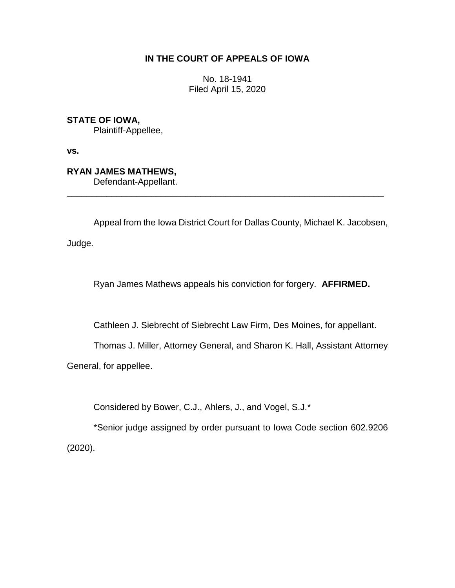## **IN THE COURT OF APPEALS OF IOWA**

No. 18-1941 Filed April 15, 2020

**STATE OF IOWA,**

Plaintiff-Appellee,

**vs.**

**RYAN JAMES MATHEWS,**

Defendant-Appellant.

Appeal from the Iowa District Court for Dallas County, Michael K. Jacobsen,

\_\_\_\_\_\_\_\_\_\_\_\_\_\_\_\_\_\_\_\_\_\_\_\_\_\_\_\_\_\_\_\_\_\_\_\_\_\_\_\_\_\_\_\_\_\_\_\_\_\_\_\_\_\_\_\_\_\_\_\_\_\_\_\_

Judge.

Ryan James Mathews appeals his conviction for forgery. **AFFIRMED.**

Cathleen J. Siebrecht of Siebrecht Law Firm, Des Moines, for appellant.

Thomas J. Miller, Attorney General, and Sharon K. Hall, Assistant Attorney

General, for appellee.

Considered by Bower, C.J., Ahlers, J., and Vogel, S.J.\*

\*Senior judge assigned by order pursuant to Iowa Code section 602.9206 (2020).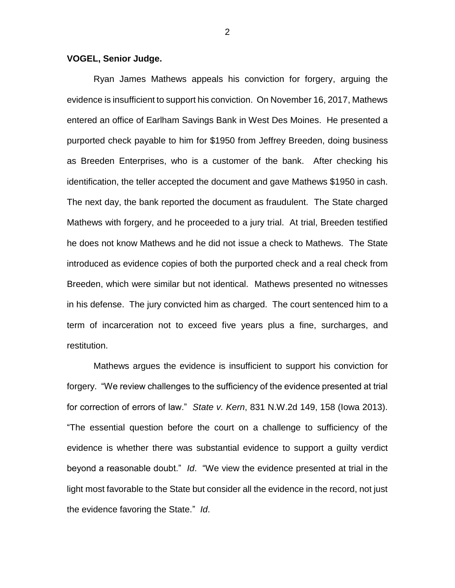## **VOGEL, Senior Judge.**

Ryan James Mathews appeals his conviction for forgery, arguing the evidence is insufficient to support his conviction. On November 16, 2017, Mathews entered an office of Earlham Savings Bank in West Des Moines. He presented a purported check payable to him for \$1950 from Jeffrey Breeden, doing business as Breeden Enterprises, who is a customer of the bank. After checking his identification, the teller accepted the document and gave Mathews \$1950 in cash. The next day, the bank reported the document as fraudulent. The State charged Mathews with forgery, and he proceeded to a jury trial. At trial, Breeden testified he does not know Mathews and he did not issue a check to Mathews. The State introduced as evidence copies of both the purported check and a real check from Breeden, which were similar but not identical. Mathews presented no witnesses in his defense. The jury convicted him as charged. The court sentenced him to a term of incarceration not to exceed five years plus a fine, surcharges, and restitution.

Mathews argues the evidence is insufficient to support his conviction for forgery. "We review challenges to the sufficiency of the evidence presented at trial for correction of errors of law." *State v. Kern*, 831 N.W.2d 149, 158 (Iowa 2013). "The essential question before the court on a challenge to sufficiency of the evidence is whether there was substantial evidence to support a guilty verdict beyond a reasonable doubt." *Id*. "We view the evidence presented at trial in the light most favorable to the State but consider all the evidence in the record, not just the evidence favoring the State." *Id*.

2